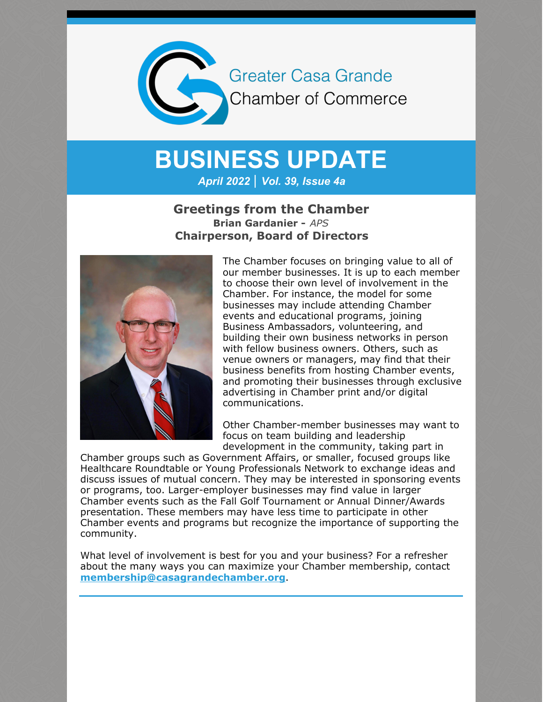

## **BUSINESS UPDATE**

*April 2022 | Vol. 39, Issue 4a*

#### **Greetings from the Chamber Brian Gardanier -** *APS* **Chairperson, Board of Directors**



The Chamber focuses on bringing value to all of our member businesses. It is up to each member to choose their own level of involvement in the Chamber. For instance, the model for some businesses may include attending Chamber events and educational programs, joining Business Ambassadors, volunteering, and building their own business networks in person with fellow business owners. Others, such as venue owners or managers, may find that their business benefits from hosting Chamber events, and promoting their businesses through exclusive advertising in Chamber print and/or digital communications.

Other Chamber-member businesses may want to focus on team building and leadership development in the community, taking part in

Chamber groups such as Government Affairs, or smaller, focused groups like Healthcare Roundtable or Young Professionals Network to exchange ideas and discuss issues of mutual concern. They may be interested in sponsoring events or programs, too. Larger-employer businesses may find value in larger Chamber events such as the Fall Golf Tournament or Annual Dinner/Awards presentation. These members may have less time to participate in other Chamber events and programs but recognize the importance of supporting the community.

What level of involvement is best for you and your business? For a refresher about the many ways you can maximize your Chamber membership, contact **[membership@casagrandechamber.org](mailto:membership@casagrandechamber.org)**.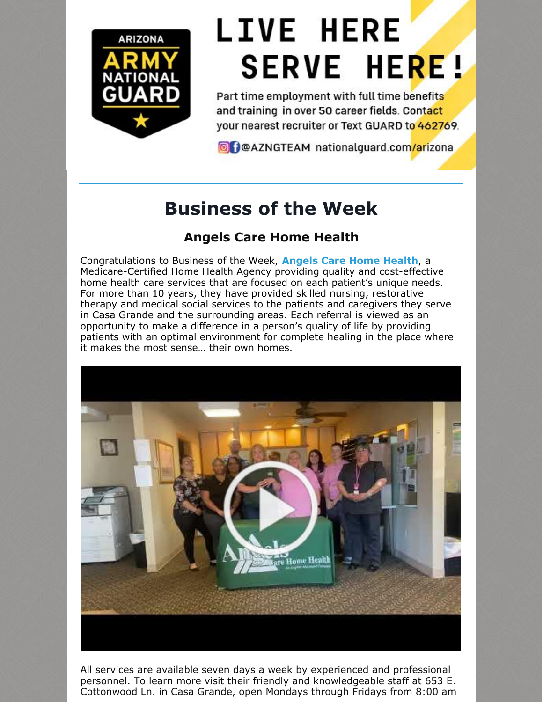

# **LIVE HERE SERVE HERE!**

Part time employment with full time benefits and training in over 50 career fields. Contact your nearest recruiter or Text GUARD to 462769.

O DOAZNGTEAM nationalguard.com/arizona

## **Business of the Week**

## **Angels Care Home Health**

Congratulations to Business of the Week, **[Angels](http://www.angelscarehealth.com/) Care Home Health**, a Medicare-Certified Home Health Agency providing quality and cost-effective home health care services that are focused on each patient's unique needs. For more than 10 years, they have provided skilled nursing, restorative therapy and medical social services to the patients and caregivers they serve in Casa Grande and the surrounding areas. Each referral is viewed as an opportunity to make a difference in a person's quality of life by providing patients with an optimal environment for complete healing in the place where it makes the most sense… their own homes.



All services are available seven days a week by experienced and professional personnel. To learn more visit their friendly and knowledgeable staff at 653 E. Cottonwood Ln. in Casa Grande, open Mondays through Fridays from 8:00 am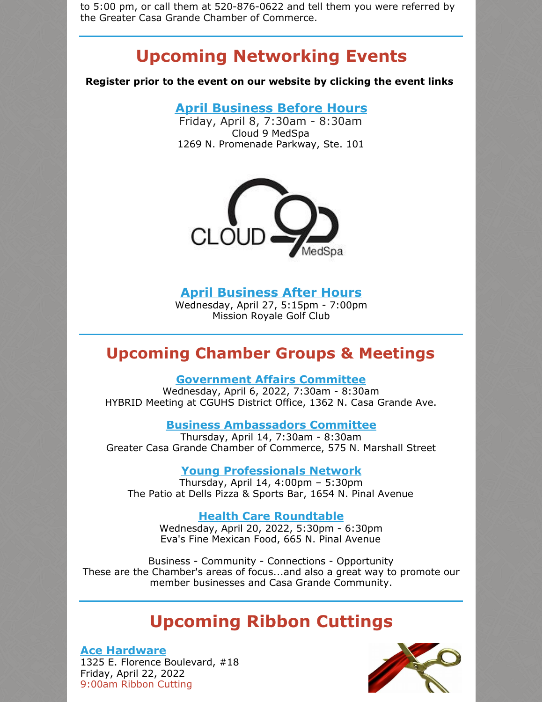to 5:00 pm, or call them at 520-876-0622 and tell them you were referred by the Greater Casa Grande Chamber of Commerce.

## **Upcoming Networking Events**

**Register prior to the event on our website by clicking the event links**

**April [Business](https://r20.rs6.net/tn.jsp?f=0014D3TjkDw6f7gDCjlLxXgGM-JzNd9C6-1WOijl4v0rs2RvUVRqVhjCs7dxoVRsc2UcXfg04ONpJSHQmpjxp8pnk17MPojqU635C5kzRQSMooEEC2WuJhugDuKPSgRVos4jh3xe3HB1uu-h9Dr2QKSIMkPz1miH0lsqfG5YYWM48vcSdK6DvJgprQ4eoJJokaVZCL3HewUkC2V3dn2oy0SXuxCwvhdWJjZTgf2SzlkLaI=&c=7O09k3MQjxt4QQDfQQC0vaX4c4JKX5MeGY_rtf8nkZYqbOAa4vsAtg==&ch=XSxKkzk8xJBy2HBxoeHLTw_FjqlDpUs0pW1u427fT1X3GfBLquI5-Q==) Before Hours** Friday, April 8, 7:30am - 8:30am

Cloud 9 MedSpa 1269 N. Promenade Parkway, Ste. 101



#### **April [Business](https://r20.rs6.net/tn.jsp?f=0014D3TjkDw6f7gDCjlLxXgGM-JzNd9C6-1WOijl4v0rs2RvUVRqVhjCgXfRRoO5DZkEIpaYwrq4RnFHi93n2ZlOPdpt7bGnT_QkyL361wWeIUqqtYYyA2mkHrGkP-2gQT3vQeAaPYrGLoXgd9-H9bPp2lnjG1UnxdBFJMx8LvDWB_a7RzZUaaVhqjeO38G6zfAUy_aMQNyuoqzFa7RcOg2YwhqtwTWkXWl81r6IJOBRMc=&c=7O09k3MQjxt4QQDfQQC0vaX4c4JKX5MeGY_rtf8nkZYqbOAa4vsAtg==&ch=XSxKkzk8xJBy2HBxoeHLTw_FjqlDpUs0pW1u427fT1X3GfBLquI5-Q==) After Hours**

Wednesday, April 27, 5:15pm - 7:00pm Mission Royale Golf Club

### **Upcoming Chamber Groups & Meetings**

#### **[Government](https://r20.rs6.net/tn.jsp?f=001Ckx_6YZPVN0d-rXMrJtCThW8FhFpf_aC-ONB7YDYgoyT1GZgBUOW6WVg8MKRsUPyqA6Lf3LjTdWlUnVHDPVZDV3MkKxBJJvzM96tGUPKnhmGgTY4E1S25QhBsw-FfpIr8GCwk0PHCbbQcks7VDFXXdsB9htsCI2GO0377keQc-7TzB65psdEQr5OD4GJ9ruehsRqDza8RXbQo3jt4XZBcb0bApcgczX0bRzym5nS7LE=&c=&ch=) Affairs Committee**

Wednesday, April 6, 2022, 7:30am - 8:30am HYBRID Meeting at CGUHS District Office, 1362 N. Casa Grande Ave.

**Business [Ambassadors](https://r20.rs6.net/tn.jsp?f=001Ckx_6YZPVN0d-rXMrJtCThW8FhFpf_aC-ONB7YDYgoyT1GZgBUOW6WVg8MKRsUPyRhGf_dIf8__5ramZle8FK_lhOuhMGk1Ns9cgkN_20vk_gNnoLT0xtrdC6qVK_03AK0PGIzc5oJWshEvf0DoKWT7tUnyffunFXkVLbKKtx7g2mkKlhWbwhG1QHtnV1q2qZmjL135rwMAR49baOFPBA3TRAL2QjRK1Y_qZmxkA_pA=&c=&ch=) Committee**

Thursday, April 14, 7:30am - 8:30am Greater Casa Grande Chamber of Commerce, 575 N. Marshall Street

**Young [Professionals](https://r20.rs6.net/tn.jsp?f=001Ckx_6YZPVN0d-rXMrJtCThW8FhFpf_aC-ONB7YDYgoyT1GZgBUOW6WVg8MKRsUPyYeGvXYPWEtZ0r3l8__NA17lAQJq0oU6aPKwJiam2Bmwql5aegSThWsY9_s1vWAXbKiHLrt2TUqj4TE3x8IQS-5iWuGhnfNqmFfLpv0BdyADmGziUCjsx0HVA9RbNCkHsW2qc3Wed8ljcUK4NByFD-mrlOx6S8OFz_6RlRcdR8bI=&c=&ch=) Network**

Thursday, April 14, 4:00pm – 5:30pm The Patio at Dells Pizza & Sports Bar, 1654 N. Pinal Avenue

**Health Care [Roundtable](https://cca.casagrandechamber.org/EvtListing.aspx?dbid2=AZCAGR&evtid=34034&class=E)**

Wednesday, April 20, 2022, 5:30pm - 6:30pm Eva's Fine Mexican Food, 665 N. Pinal Avenue

Business - Community - Connections - Opportunity These are the Chamber's areas of focus...and also a great way to promote our member businesses and Casa Grande Community.

## **Upcoming Ribbon Cuttings**

#### **Ace [Hardware](https://r20.rs6.net/tn.jsp?f=0014D3TjkDw6f7gDCjlLxXgGM-JzNd9C6-1WOijl4v0rs2RvUVRqVhjCgXfRRoO5DZkYEg0ibSY8r-JraV1GFHDRM2RrYQs-ZDD8TI9sn63JedJteR9Y-g_jPXMeOcPTA86dh6WCIu_BaIkhxCuln8yUp-VxbHGDMi-1wkvqK009RvXpTIvtUDc7Q==&c=7O09k3MQjxt4QQDfQQC0vaX4c4JKX5MeGY_rtf8nkZYqbOAa4vsAtg==&ch=XSxKkzk8xJBy2HBxoeHLTw_FjqlDpUs0pW1u427fT1X3GfBLquI5-Q==)**

1325 E. Florence Boulevard, #18 Friday, April 22, 2022 9:00am Ribbon Cutting

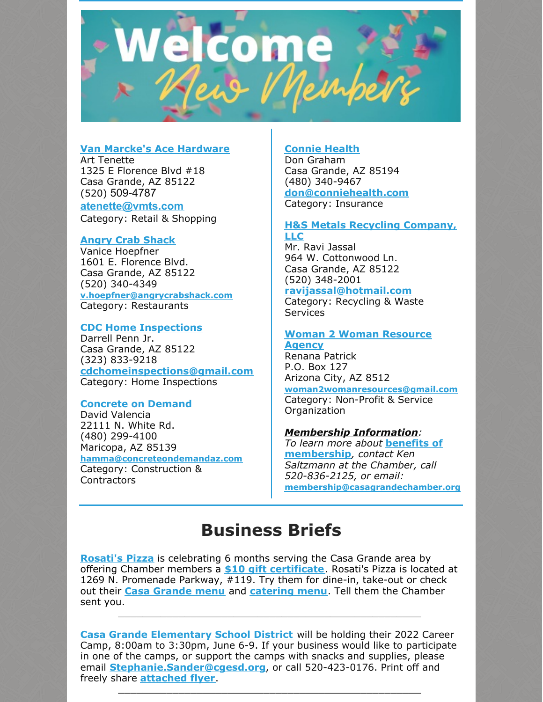

#### **Van Marcke's Ace [Hardware](https://www.acehardware.com/store-details/17905)**

Art Tenette 1325 E Florence Blvd #18 Casa Grande, AZ 85122 (520) 509-4787

**[atenette@vmts.com](http://atenette@vmts.com)**

Category: Retail & Shopping

#### **Angry Crab [Shack](https://www.angrycrabshack.com/casa-grande/)**

Vanice Hoepfner 1601 E. Florence Blvd. Casa Grande, AZ 85122 (520) 340-4349 **[v.hoepfner@angrycrabshack.com](mailto:v.hoepfner@angrycrabshack.com)** Category: Restaurants

#### **CDC Home [Inspections](http://www.cdc-residential.com)**

Darrell Penn Jr. Casa Grande, AZ 85122 (323) 833-9218 **[cdchomeinspections@gmail.com](mailto:cdchomeinspections@gmail.com)** Category: Home Inspections

#### **Concrete on Demand**

David Valencia 22111 N. White Rd. (480) 299-4100 Maricopa, AZ 85139 **[hamma@concreteondemandaz.com](mailto:hamma@concreteondemandaz.com)** Category: Construction & Contractors

#### **[Connie](http://www.conniehealth.com) Health**

Don Graham Casa Grande, AZ 85194 (480) 340-9467 **[don@conniehealth.com](mailto:don@conniehealth.com)** Category: Insurance

#### **H&S Metals Recycling [Company,](http://www.harmansrecycling.com) LLC**

Mr. Ravi Jassal 964 W. Cottonwood Ln. Casa Grande, AZ 85122 (520) 348-2001 **[ravijassal@hotmail.com](mailto:ravijassal@hotmail.com)**

Category: Recycling & Waste **Services** 

#### **Woman 2 Woman [Resource](http://www.w2wresources.org) Agency**

Renana Patrick P.O. Box 127 Arizona City, AZ 8512 **[woman2womanresources@gmail.com](mailto:woman2womanresources@gmail.com)** Category: Non-Profit & Service Organization

#### *Membership Information:*

*To learn more about* **benefits of [membership](https://casagrandechamber.org/member-benefits/)***, contact Ken Saltzmann at the Chamber, call 520-836-2125, or email:* **[membership@casagrandechamber.or](mailto:membership@casagrandechamber.org)g**

## **Business Briefs**

**[Rosati's](https://r20.rs6.net/tn.jsp?f=0014D3TjkDw6f7gDCjlLxXgGM-JzNd9C6-1WOijl4v0rs2RvUVRqVhjCoTpLeeSfGjaTcTfB7EavZ1Zj30k0K6-Ed5q7fMHOWCWlIXfbp3z7vayzqbnFlcCWlk4ZGZveFdo7ok6bq7QaIoIyfcoQ-d1_eNhudRCwKM9&c=7O09k3MQjxt4QQDfQQC0vaX4c4JKX5MeGY_rtf8nkZYqbOAa4vsAtg==&ch=XSxKkzk8xJBy2HBxoeHLTw_FjqlDpUs0pW1u427fT1X3GfBLquI5-Q==) Pizza** is celebrating 6 months serving the Casa Grande area by offering Chamber members a **\$10 gift [certificate](https://r20.rs6.net/tn.jsp?f=0014D3TjkDw6f7gDCjlLxXgGM-JzNd9C6-1WOijl4v0rs2RvUVRqVhjCgXfRRoO5DZkrz2xHLHyC6_uXR7ZVCObHGtSCKPG47VW46k45xUkqiJu2MXW0PUga7JG9fO4JgsTCpgcMrGufOMx3b6fPKQRQrsgBuIcsYAt9bILiAIkb9lhhXkbv3medLpZq-XQjKDbpzFzK60agHgObsBLK6lUDkn8tN_xm_nNnnbRbTgi_ZS-IohLG2mszQ==&c=7O09k3MQjxt4QQDfQQC0vaX4c4JKX5MeGY_rtf8nkZYqbOAa4vsAtg==&ch=XSxKkzk8xJBy2HBxoeHLTw_FjqlDpUs0pW1u427fT1X3GfBLquI5-Q==)**. Rosati's Pizza is located at 1269 N. Promenade Parkway, #119. Try them for dine-in, take-out or check out their **Casa [Grande](https://files.constantcontact.com/8c5f2f7b701/11509da2-da36-44b4-9b9b-21dc32a5a815.pdf?rdr=true) menu** and **[catering](https://r20.rs6.net/tn.jsp?f=0014D3TjkDw6f7gDCjlLxXgGM-JzNd9C6-1WOijl4v0rs2RvUVRqVhjCgXfRRoO5DZkLNKxCnxb-6SBJkEcijIJKemoQYTLUc_zieenWCkKVDS8qbGBExnCZs42LcnZ4Dg0j2WcLDU734yhRW4HXRjItE90pM6SIC9LBaJ1rNeN99m9CgD0WY5B2YfmAiqBbS84xbDszkMnceqO22jmwk1Nz39UMHcnZ3nOq3_g9jPXCARkFk2ty4lTJA==&c=7O09k3MQjxt4QQDfQQC0vaX4c4JKX5MeGY_rtf8nkZYqbOAa4vsAtg==&ch=XSxKkzk8xJBy2HBxoeHLTw_FjqlDpUs0pW1u427fT1X3GfBLquI5-Q==) menu**. Tell them the Chamber sent you.

\_\_\_\_\_\_\_\_\_\_\_\_\_\_\_\_\_\_\_\_\_\_\_\_\_\_\_\_\_\_\_\_\_\_\_\_\_\_\_\_\_\_\_\_\_\_\_\_\_\_

**Casa Grande [Elementary](http://www.cgesd.org) School District** will be holding their 2022 Career Camp, 8:00am to 3:30pm, June 6-9. If your business would like to participate in one of the camps, or support the camps with snacks and supplies, please email **[Stephanie.Sander@cgesd.org](mailto:Stephanie.Sander@cgesd.org)**, or call 520-423-0176. Print off and freely share **[attached](https://files.constantcontact.com/8c5f2f7b701/3a953799-d56d-4a48-9510-0519a3a94601.pdf?rdr=true) flyer**.

\_\_\_\_\_\_\_\_\_\_\_\_\_\_\_\_\_\_\_\_\_\_\_\_\_\_\_\_\_\_\_\_\_\_\_\_\_\_\_\_\_\_\_\_\_\_\_\_\_\_